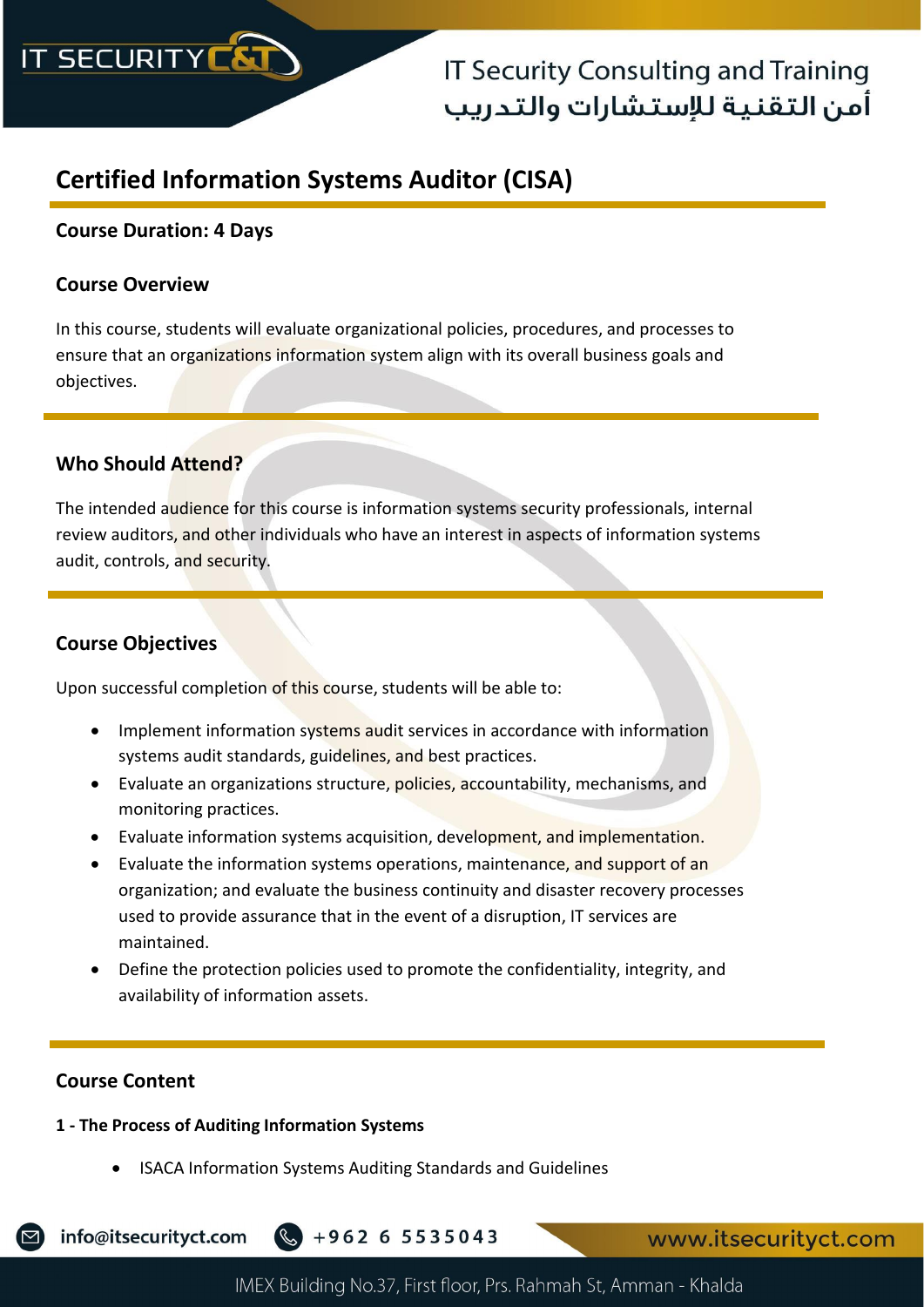

## **IT Security Consulting and Training** أمن التقنية للإستشارات والتدريب

## **Certified Information Systems Auditor (CISA)**

## **Course Duration: 4 Days**

### **Course Overview**

In this course, students will evaluate organizational policies, procedures, and processes to ensure that an organizations information system align with its overall business goals and objectives.

### **Who Should Attend?**

The intended audience for this course is information systems security professionals, internal review auditors, and other individuals who have an interest in aspects of information systems audit, controls, and security.

### **Course Objectives**

Upon successful completion of this course, students will be able to:

- Implement information systems audit services in accordance with information systems audit standards, guidelines, and best practices.
- Evaluate an organizations structure, policies, accountability, mechanisms, and monitoring practices.
- Evaluate information systems acquisition, development, and implementation.
- Evaluate the information systems operations, maintenance, and support of an organization; and evaluate the business continuity and disaster recovery processes used to provide assurance that in the event of a disruption, IT services are maintained.
- Define the protection policies used to promote the confidentiality, integrity, and availability of information assets.

#### **Course Content**

### **1 - The Process of Auditing Information Systems**

• ISACA Information Systems Auditing Standards and Guidelines

info@itsecurityct.com  $\frac{1}{2} + 962655535043$ 

www.itsecurityct.com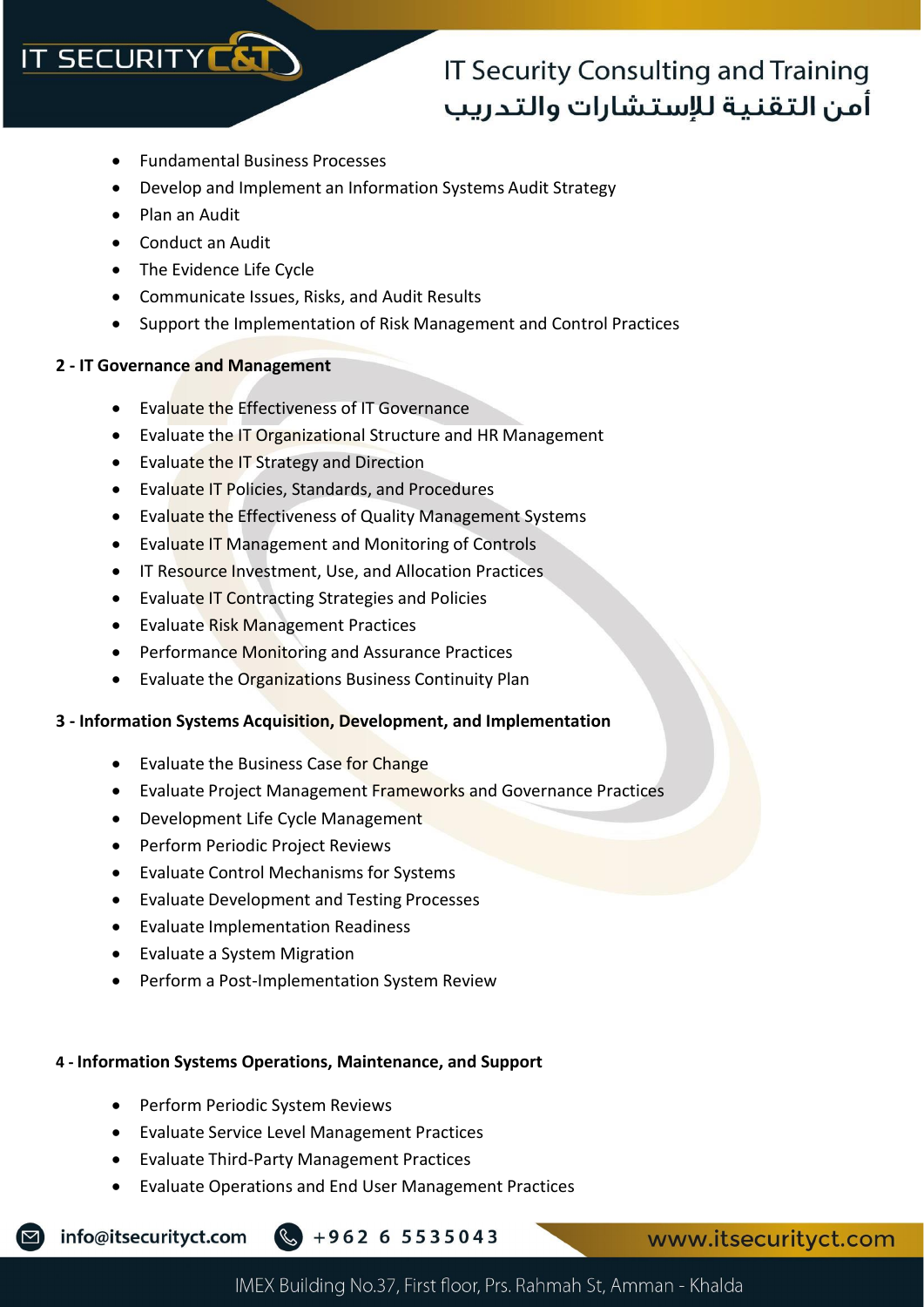## **IT SECURITY CA**

# **IT Security Consulting and Training** أمن التقنية للإستشارات والتدريب

- Fundamental Business Processes
- Develop and Implement an Information Systems Audit Strategy
- Plan an Audit
- Conduct an Audit
- The Evidence Life Cycle
- Communicate Issues, Risks, and Audit Results
- Support the Implementation of Risk Management and Control Practices

#### **2 - IT Governance and Management**

- Evaluate the Effectiveness of IT Governance
- Evaluate the IT Organizational Structure and HR Management
- Evaluate the IT Strategy and Direction
- Evaluate IT Policies, Standards, and Procedures
- Evaluate the Effectiveness of Quality Management Systems
- Evaluate IT Management and Monitoring of Controls
- IT Resource Investment, Use, and Allocation Practices
- Evaluate IT Contracting Strategies and Policies
- Evaluate Risk Management Practices
- Performance Monitoring and Assurance Practices
- Evaluate the Organizations Business Continuity Plan

#### **3 - Information Systems Acquisition, Development, and Implementation**

- Evaluate the Business Case for Change
- Evaluate Project Management Frameworks and Governance Practices
- Development Life Cycle Management
- Perform Periodic Project Reviews
- Evaluate Control Mechanisms for Systems
- Evaluate Development and Testing Processes
- Evaluate Implementation Readiness
- Evaluate a System Migration
- Perform a Post-Implementation System Review

#### **4 - Information Systems Operations, Maintenance, and Support**

- Perform Periodic System Reviews
- Evaluate Service Level Management Practices
- Evaluate Third-Party Management Practices
- Evaluate Operations and End User Management Practices

info@itsecurityct.com +962 6 5535043

www.itsecurityct.com

IMEX Building No.37, First floor, Prs. Rahmah St, Amman - Khalda